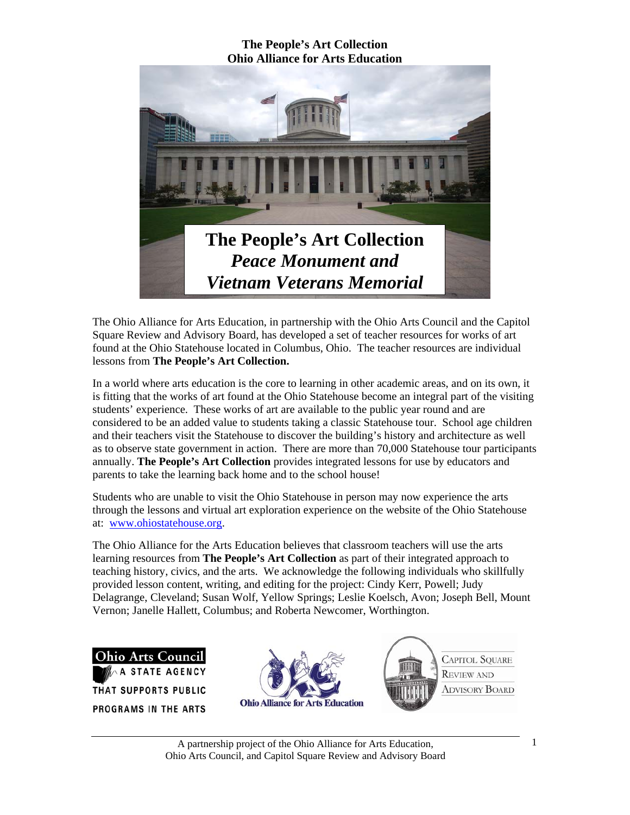

The Ohio Alliance for Arts Education, in partnership with the Ohio Arts Council and the Capitol Square Review and Advisory Board, has developed a set of teacher resources for works of art found at the Ohio Statehouse located in Columbus, Ohio. The teacher resources are individual lessons from **The People's Art Collection.** 

In a world where arts education is the core to learning in other academic areas, and on its own, it is fitting that the works of art found at the Ohio Statehouse become an integral part of the visiting students' experience. These works of art are available to the public year round and are considered to be an added value to students taking a classic Statehouse tour. School age children and their teachers visit the Statehouse to discover the building's history and architecture as well as to observe state government in action. There are more than 70,000 Statehouse tour participants annually. **The People's Art Collection** provides integrated lessons for use by educators and parents to take the learning back home and to the school house!

Students who are unable to visit the Ohio Statehouse in person may now experience the arts through the lessons and virtual art exploration experience on the website of the Ohio Statehouse at: www.ohiostatehouse.org.

The Ohio Alliance for the Arts Education believes that classroom teachers will use the arts learning resources from **The People's Art Collection** as part of their integrated approach to teaching history, civics, and the arts. We acknowledge the following individuals who skillfully provided lesson content, writing, and editing for the project: Cindy Kerr, Powell; Judy Delagrange, Cleveland; Susan Wolf, Yellow Springs; Leslie Koelsch, Avon; Joseph Bell, Mount Vernon; Janelle Hallett, Columbus; and Roberta Newcomer, Worthington.

**Ohio Arts Council** ATE AGENCY THAT SUPPORTS PUBLIC PROGRAMS IN THE ARTS

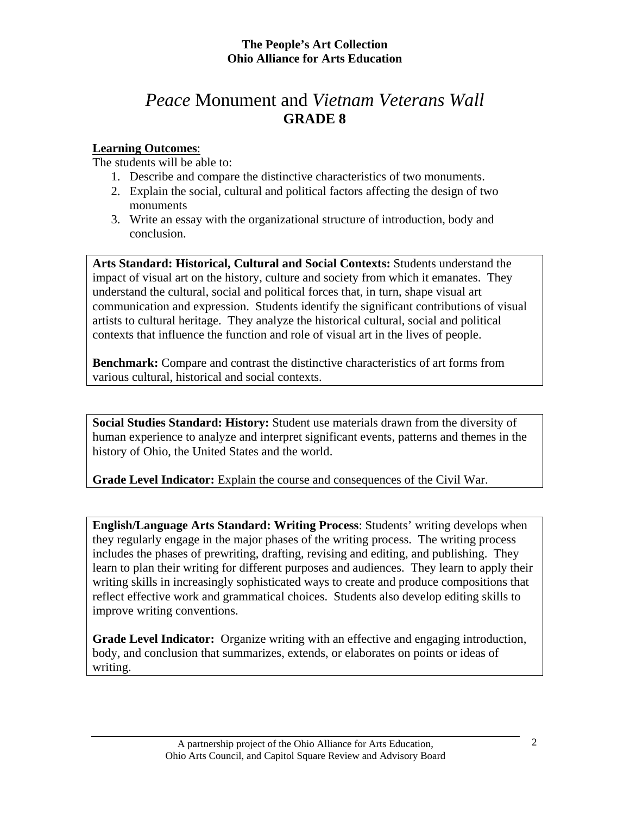# *Peace* Monument and *Vietnam Veterans Wall* **GRADE 8**

## **Learning Outcomes**:

The students will be able to:

- 1. Describe and compare the distinctive characteristics of two monuments.
- 2. Explain the social, cultural and political factors affecting the design of two monuments
- 3. Write an essay with the organizational structure of introduction, body and conclusion.

**Arts Standard: Historical, Cultural and Social Contexts:** Students understand the impact of visual art on the history, culture and society from which it emanates. They understand the cultural, social and political forces that, in turn, shape visual art communication and expression. Students identify the significant contributions of visual artists to cultural heritage. They analyze the historical cultural, social and political contexts that influence the function and role of visual art in the lives of people.

**Benchmark:** Compare and contrast the distinctive characteristics of art forms from various cultural, historical and social contexts.

**Social Studies Standard: History:** Student use materials drawn from the diversity of human experience to analyze and interpret significant events, patterns and themes in the history of Ohio, the United States and the world.

**Grade Level Indicator:** Explain the course and consequences of the Civil War.

**English/Language Arts Standard: Writing Process**: Students' writing develops when they regularly engage in the major phases of the writing process. The writing process includes the phases of prewriting, drafting, revising and editing, and publishing. They learn to plan their writing for different purposes and audiences. They learn to apply their writing skills in increasingly sophisticated ways to create and produce compositions that reflect effective work and grammatical choices. Students also develop editing skills to improve writing conventions.

**Grade Level Indicator:** Organize writing with an effective and engaging introduction, body, and conclusion that summarizes, extends, or elaborates on points or ideas of writing.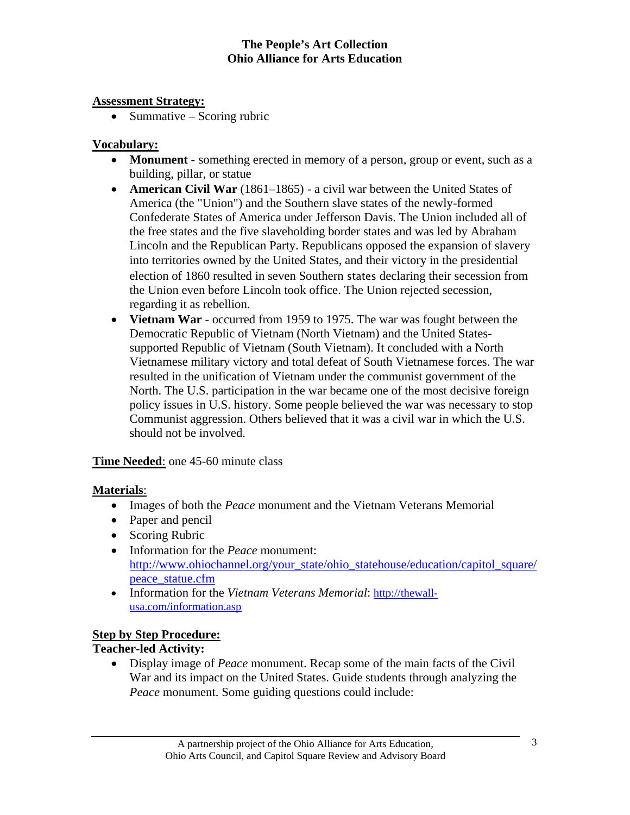### **Assessment Strategy:**

• Summative – Scoring rubric

## **Vocabulary:**

- **Monument** something erected in memory of a person, group or event, such as a building, pillar, or statue
- **American Civil War** (1861–1865) a civil war between the United States of America (the "Union") and the Southern slave states of the newly-formed Confederate States of America under Jefferson Davis. The Union included all of the free states and the five slaveholding border states and was led by Abraham Lincoln and the Republican Party. Republicans opposed the expansion of slavery into territories owned by the United States, and their victory in the presidential election of 1860 resulted in seven Southern states declaring their secession from the Union even before Lincoln took office. The Union rejected secession, regarding it as rebellion.
- **Vietnam War** occurred from 1959 to 1975. The war was fought between the Democratic Republic of Vietnam (North Vietnam) and the United Statessupported Republic of Vietnam (South Vietnam). It concluded with a North Vietnamese military victory and total defeat of South Vietnamese forces. The war resulted in the unification of Vietnam under the communist government of the North. The U.S. participation in the war became one of the most decisive foreign policy issues in U.S. history. Some people believed the war was necessary to stop Communist aggression. Others believed that it was a civil war in which the U.S. should not be involved.

### **Time Needed**: one 45-60 minute class

### **Materials**:

- Images of both the *Peace* monument and the Vietnam Veterans Memorial
- Paper and pencil
- Scoring Rubric
- Information for the *Peace* monument: http://www.ohiochannel.org/your\_state/ohio\_statehouse/education/capitol\_square/ peace\_statue.cfm
- Information for the *Vietnam Veterans Memorial*: http://thewallusa.com/information.asp

### **Step by Step Procedure:**

## **Teacher-led Activity:**

• Display image of *Peace* monument. Recap some of the main facts of the Civil War and its impact on the United States. Guide students through analyzing the *Peace* monument. Some guiding questions could include: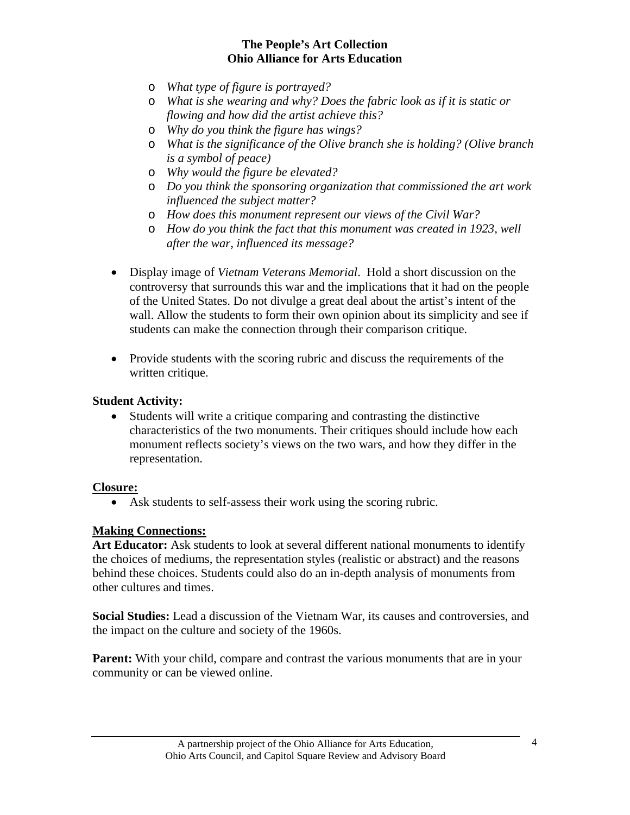- o *What type of figure is portrayed?*
- o *What is she wearing and why? Does the fabric look as if it is static or flowing and how did the artist achieve this?*
- o *Why do you think the figure has wings?*
- o *What is the significance of the Olive branch she is holding? (Olive branch is a symbol of peace)*
- o *Why would the figure be elevated?*
- o *Do you think the sponsoring organization that commissioned the art work influenced the subject matter?*
- o *How does this monument represent our views of the Civil War?*
- o *How do you think the fact that this monument was created in 1923, well after the war, influenced its message?*
- Display image of *Vietnam Veterans Memorial*. Hold a short discussion on the controversy that surrounds this war and the implications that it had on the people of the United States. Do not divulge a great deal about the artist's intent of the wall. Allow the students to form their own opinion about its simplicity and see if students can make the connection through their comparison critique.
- Provide students with the scoring rubric and discuss the requirements of the written critique.

#### **Student Activity:**

• Students will write a critique comparing and contrasting the distinctive characteristics of the two monuments. Their critiques should include how each monument reflects society's views on the two wars, and how they differ in the representation.

#### **Closure:**

• Ask students to self-assess their work using the scoring rubric.

#### **Making Connections:**

Art Educator: Ask students to look at several different national monuments to identify the choices of mediums, the representation styles (realistic or abstract) and the reasons behind these choices. Students could also do an in-depth analysis of monuments from other cultures and times.

**Social Studies:** Lead a discussion of the Vietnam War, its causes and controversies, and the impact on the culture and society of the 1960s.

**Parent:** With your child, compare and contrast the various monuments that are in your community or can be viewed online.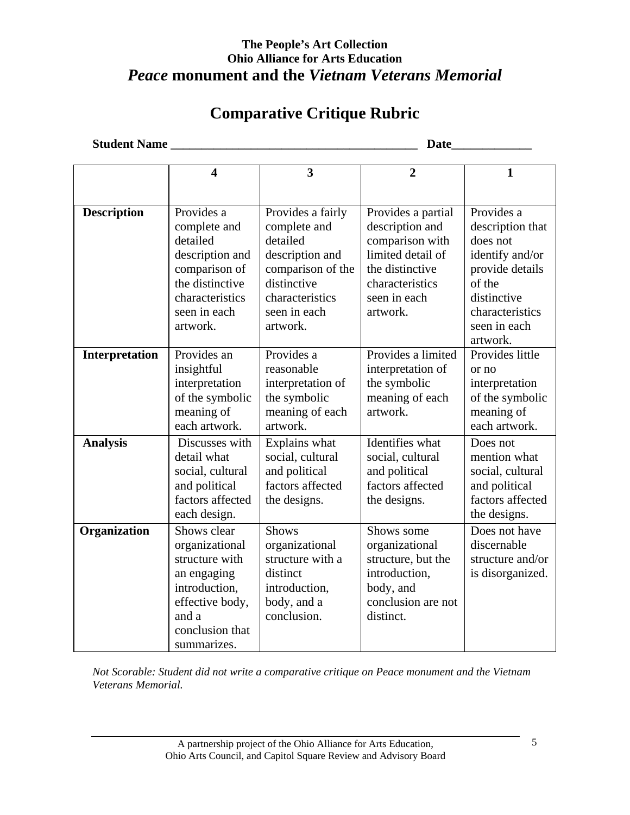# **The People's Art Collection Ohio Alliance for Arts Education**  *Peace* **monument and the** *Vietnam Veterans Memorial*

# **Comparative Critique Rubric**

**Student Name \_\_\_\_\_\_\_\_\_\_\_\_\_\_\_\_\_\_\_\_\_\_\_\_\_\_\_\_\_\_\_\_\_\_\_\_\_\_\_\_ Date\_\_\_\_\_\_\_\_\_\_\_\_\_** 

|                    | 4                                                                                                                                             | 3                                                                                                                                                   | $\overline{2}$                                                                                                                                  | $\mathbf{1}$                                                                                                                                             |
|--------------------|-----------------------------------------------------------------------------------------------------------------------------------------------|-----------------------------------------------------------------------------------------------------------------------------------------------------|-------------------------------------------------------------------------------------------------------------------------------------------------|----------------------------------------------------------------------------------------------------------------------------------------------------------|
|                    |                                                                                                                                               |                                                                                                                                                     |                                                                                                                                                 |                                                                                                                                                          |
| <b>Description</b> | Provides a<br>complete and<br>detailed<br>description and<br>comparison of<br>the distinctive<br>characteristics<br>seen in each<br>artwork.  | Provides a fairly<br>complete and<br>detailed<br>description and<br>comparison of the<br>distinctive<br>characteristics<br>seen in each<br>artwork. | Provides a partial<br>description and<br>comparison with<br>limited detail of<br>the distinctive<br>characteristics<br>seen in each<br>artwork. | Provides a<br>description that<br>does not<br>identify and/or<br>provide details<br>of the<br>distinctive<br>characteristics<br>seen in each<br>artwork. |
| Interpretation     | Provides an<br>insightful<br>interpretation<br>of the symbolic<br>meaning of<br>each artwork.                                                 | Provides a<br>reasonable<br>interpretation of<br>the symbolic<br>meaning of each<br>artwork.                                                        | Provides a limited<br>interpretation of<br>the symbolic<br>meaning of each<br>artwork.                                                          | Provides little<br>or no<br>interpretation<br>of the symbolic<br>meaning of<br>each artwork.                                                             |
| <b>Analysis</b>    | Discusses with<br>detail what<br>social, cultural<br>and political<br>factors affected<br>each design.                                        | Explains what<br>social, cultural<br>and political<br>factors affected<br>the designs.                                                              | Identifies what<br>social, cultural<br>and political<br>factors affected<br>the designs.                                                        | Does not<br>mention what<br>social, cultural<br>and political<br>factors affected<br>the designs.                                                        |
| Organization       | Shows clear<br>organizational<br>structure with<br>an engaging<br>introduction,<br>effective body,<br>and a<br>conclusion that<br>summarizes. | <b>Shows</b><br>organizational<br>structure with a<br>distinct<br>introduction,<br>body, and a<br>conclusion.                                       | Shows some<br>organizational<br>structure, but the<br>introduction,<br>body, and<br>conclusion are not<br>distinct.                             | Does not have<br>discernable<br>structure and/or<br>is disorganized.                                                                                     |

*Not Scorable: Student did not write a comparative critique on Peace monument and the Vietnam Veterans Memorial.*